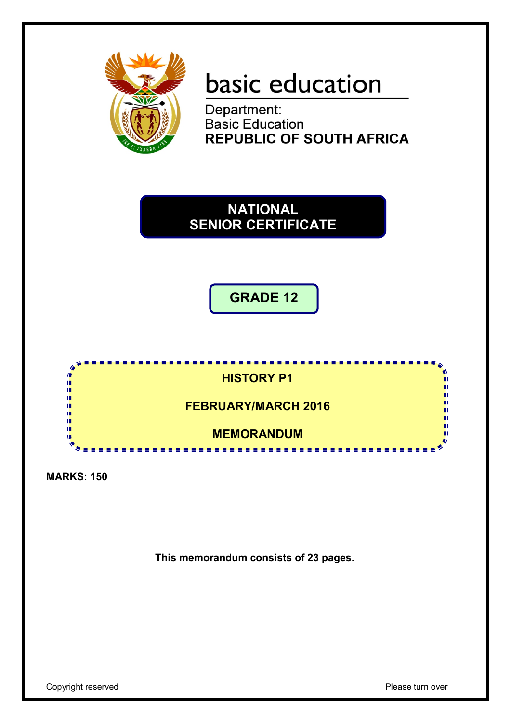

# basic education

Department: **Basic Education REPUBLIC OF SOUTH AFRICA** 

### **NATIONAL SENIOR CERTIFICATE**

**GRADE 12**



**MARKS: 150**

**This memorandum consists of 23 pages.**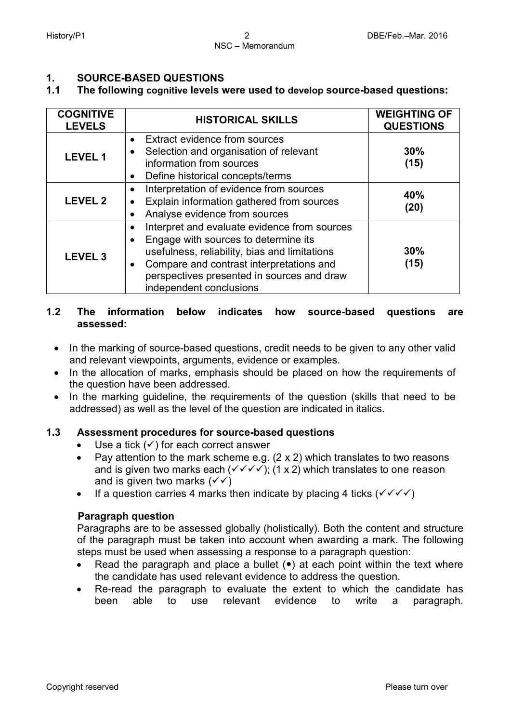## **1. SOURCE-BASED QUESTIONS**

#### **1.1 The following cognitive levels were used to develop source-based questions:**

| <b>COGNITIVE</b><br><b>LEVELS</b> | <b>HISTORICAL SKILLS</b>                                                                                                                                                                                                                                                                          | <b>WEIGHTING OF</b><br><b>QUESTIONS</b> |
|-----------------------------------|---------------------------------------------------------------------------------------------------------------------------------------------------------------------------------------------------------------------------------------------------------------------------------------------------|-----------------------------------------|
| <b>LEVEL 1</b>                    | <b>Extract evidence from sources</b><br>$\bullet$<br>Selection and organisation of relevant<br>information from sources<br>Define historical concepts/terms                                                                                                                                       | 30%<br>(15)                             |
| <b>LEVEL 2</b>                    | Interpretation of evidence from sources<br>$\bullet$<br>Explain information gathered from sources<br>$\bullet$<br>Analyse evidence from sources<br>$\bullet$                                                                                                                                      | 40%<br>(20)                             |
| <b>LEVEL 3</b>                    | Interpret and evaluate evidence from sources<br>$\bullet$<br>Engage with sources to determine its<br>$\bullet$<br>usefulness, reliability, bias and limitations<br>Compare and contrast interpretations and<br>$\bullet$<br>perspectives presented in sources and draw<br>independent conclusions | 30%<br>(15)                             |

#### **1.2 The information below indicates how source-based questions are assessed:**

- In the marking of source-based questions, credit needs to be given to any other valid and relevant viewpoints, arguments, evidence or examples.
- In the allocation of marks, emphasis should be placed on how the requirements of the question have been addressed.
- In the marking guideline, the requirements of the question (skills that need to be addressed) as well as the level of the question are indicated in italics.

#### **1.3 Assessment procedures for source-based questions**

- Use a tick  $(v)$  for each correct answer
- Pay attention to the mark scheme e.g. (2 x 2) which translates to two reasons and is given two marks each ( $\checkmark \checkmark \checkmark$ ); (1 x 2) which translates to one reason and is given two marks  $(\sqrt{\sqrt})$
- If a question carries 4 marks then indicate by placing 4 ticks  $(\sqrt{\sqrt{}})$

#### **Paragraph question**

Paragraphs are to be assessed globally (holistically). Both the content and structure of the paragraph must be taken into account when awarding a mark. The following steps must be used when assessing a response to a paragraph question:

- Read the paragraph and place a bullet  $(\bullet)$  at each point within the text where the candidate has used relevant evidence to address the question.
- Re-read the paragraph to evaluate the extent to which the candidate has been able to use relevant evidence to write a paragraph.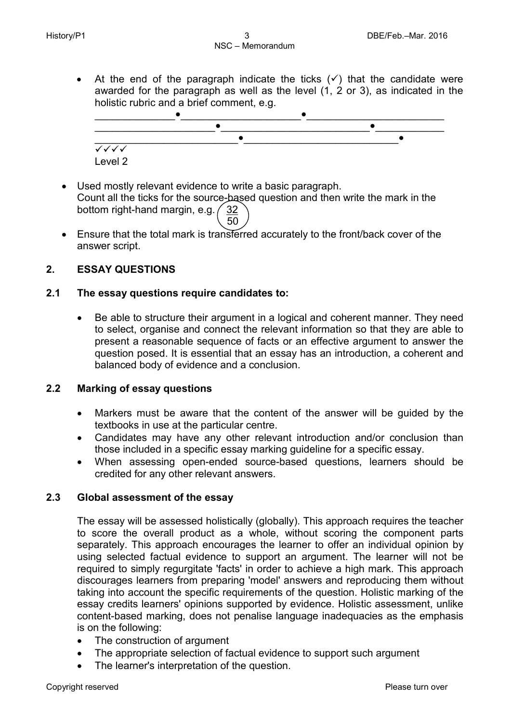• At the end of the paragraph indicate the ticks  $(v)$  that the candidate were awarded for the paragraph as well as the level (1, 2 or 3), as indicated in the holistic rubric and a brief comment, e.g.



- Used mostly relevant evidence to write a basic paragraph. Count all the ticks for the source-based question and then write the mark in the bottom right-hand margin, e.g.  $\binom{32}{3}$  $\sim$  50
- Ensure that the total mark is transferred accurately to the front/back cover of the answer script.

#### **2. ESSAY QUESTIONS**

#### **2.1 The essay questions require candidates to:**

• Be able to structure their argument in a logical and coherent manner. They need to select, organise and connect the relevant information so that they are able to present a reasonable sequence of facts or an effective argument to answer the question posed. It is essential that an essay has an introduction, a coherent and balanced body of evidence and a conclusion.

#### **2.2 Marking of essay questions**

- Markers must be aware that the content of the answer will be guided by the textbooks in use at the particular centre.
- Candidates may have any other relevant introduction and/or conclusion than those included in a specific essay marking guideline for a specific essay.
- When assessing open-ended source-based questions, learners should be credited for any other relevant answers.

#### **2.3 Global assessment of the essay**

The essay will be assessed holistically (globally). This approach requires the teacher to score the overall product as a whole, without scoring the component parts separately. This approach encourages the learner to offer an individual opinion by using selected factual evidence to support an argument. The learner will not be required to simply regurgitate 'facts' in order to achieve a high mark. This approach discourages learners from preparing 'model' answers and reproducing them without taking into account the specific requirements of the question. Holistic marking of the essay credits learners' opinions supported by evidence. Holistic assessment, unlike content-based marking, does not penalise language inadequacies as the emphasis is on the following:

- The construction of argument
- The appropriate selection of factual evidence to support such argument
- The learner's interpretation of the question.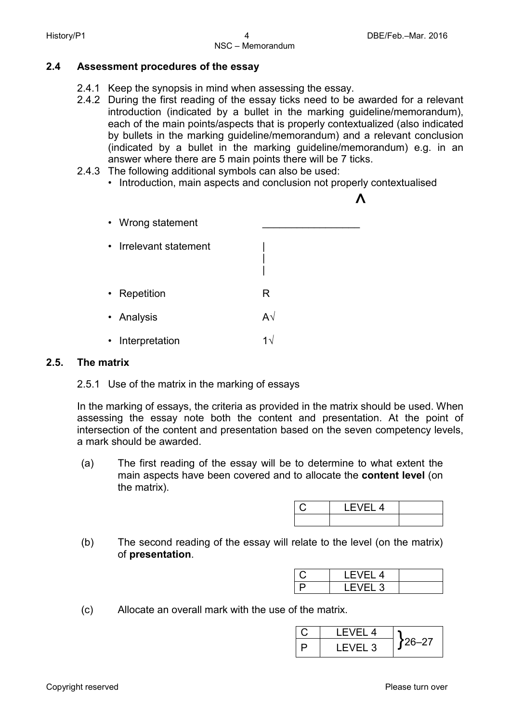#### **2.4 Assessment procedures of the essay**

- 2.4.1 Keep the synopsis in mind when assessing the essay.
- 2.4.2 During the first reading of the essay ticks need to be awarded for a relevant introduction (indicated by a bullet in the marking guideline/memorandum), each of the main points/aspects that is properly contextualized (also indicated by bullets in the marking guideline/memorandum) and a relevant conclusion (indicated by a bullet in the marking guideline/memorandum) e.g. in an answer where there are 5 main points there will be 7 ticks.
- 2.4.3 The following additional symbols can also be used:
	- Introduction, main aspects and conclusion not properly contextualised



#### **2.5. The matrix**

2.5.1 Use of the matrix in the marking of essays

In the marking of essays, the criteria as provided in the matrix should be used. When assessing the essay note both the content and presentation. At the point of intersection of the content and presentation based on the seven competency levels, a mark should be awarded.

(a) The first reading of the essay will be to determine to what extent the main aspects have been covered and to allocate the **content level** (on the matrix).

| LEVEL 4 |  |
|---------|--|
|         |  |

(b) The second reading of the essay will relate to the level (on the matrix) of **presentation**.

| LEVEL 4 |  |
|---------|--|
| LEVEL 3 |  |

(c) Allocate an overall mark with the use of the matrix.

| LEVEL 4  |        |
|----------|--------|
| I FVFI 3 | 126–27 |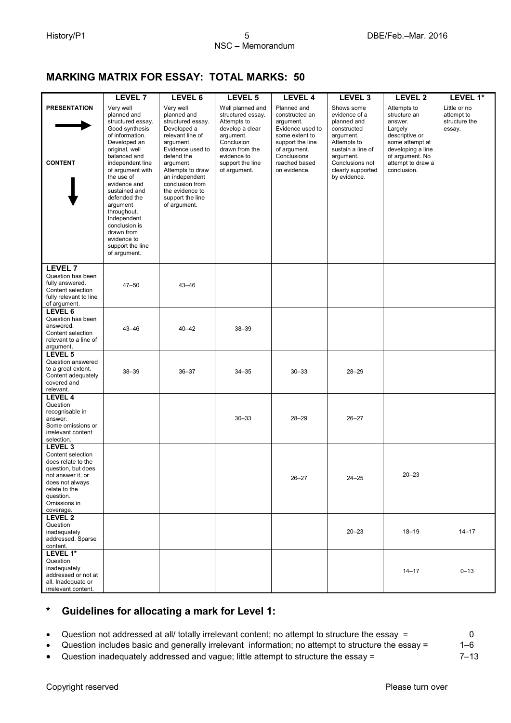#### **MARKING MATRIX FOR ESSAY: TOTAL MARKS: 50**

|                                                                                                                                                                                        | <b>LEVEL 7</b>                                                                                                                                                                                                                                          | LEVEL 6                                                                                                                                                                                                                                                      | LEVEL 5                                                                                                                                                                 | <b>LEVEL 4</b>                                                                                                                                                       | LEVEL <sub>3</sub>                                                                                                                                                              | LEVEL 2                                                                                                                                                            | LEVEL 1*                                              |
|----------------------------------------------------------------------------------------------------------------------------------------------------------------------------------------|---------------------------------------------------------------------------------------------------------------------------------------------------------------------------------------------------------------------------------------------------------|--------------------------------------------------------------------------------------------------------------------------------------------------------------------------------------------------------------------------------------------------------------|-------------------------------------------------------------------------------------------------------------------------------------------------------------------------|----------------------------------------------------------------------------------------------------------------------------------------------------------------------|---------------------------------------------------------------------------------------------------------------------------------------------------------------------------------|--------------------------------------------------------------------------------------------------------------------------------------------------------------------|-------------------------------------------------------|
| <b>PRESENTATION</b><br><b>CONTENT</b>                                                                                                                                                  | Very well<br>planned and<br>structured essay.<br>Good synthesis<br>of information.<br>Developed an<br>original, well<br>balanced and<br>independent line<br>of argument with<br>the use of<br>evidence and<br>sustained and<br>defended the<br>argument | Very well<br>planned and<br>structured essay.<br>Developed a<br>relevant line of<br>argument.<br>Evidence used to<br>defend the<br>argument.<br>Attempts to draw<br>an independent<br>conclusion from<br>the evidence to<br>support the line<br>of argument. | Well planned and<br>structured essay.<br>Attempts to<br>develop a clear<br>argument.<br>Conclusion<br>drawn from the<br>evidence to<br>support the line<br>of argument. | Planned and<br>constructed an<br>argument.<br>Evidence used to<br>some extent to<br>support the line<br>of argument.<br>Conclusions<br>reached based<br>on evidence. | Shows some<br>evidence of a<br>planned and<br>constructed<br>argument.<br>Attempts to<br>sustain a line of<br>argument.<br>Conclusions not<br>clearly supported<br>by evidence. | Attempts to<br>structure an<br>answer.<br>Largely<br>descriptive or<br>some attempt at<br>developing a line<br>of argument. No<br>attempt to draw a<br>conclusion. | Little or no<br>attempt to<br>structure the<br>essay. |
|                                                                                                                                                                                        | throughout.<br>Independent<br>conclusion is<br>drawn from<br>evidence to<br>support the line<br>of argument.                                                                                                                                            |                                                                                                                                                                                                                                                              |                                                                                                                                                                         |                                                                                                                                                                      |                                                                                                                                                                                 |                                                                                                                                                                    |                                                       |
| <b>LEVEL 7</b><br>Question has been<br>fully answered.<br>Content selection<br>fully relevant to line<br>of argument.                                                                  | $47 - 50$                                                                                                                                                                                                                                               | $43 - 46$                                                                                                                                                                                                                                                    |                                                                                                                                                                         |                                                                                                                                                                      |                                                                                                                                                                                 |                                                                                                                                                                    |                                                       |
| LEVEL 6<br>Question has been<br>answered.<br>Content selection<br>relevant to a line of<br>argument.                                                                                   | $43 - 46$                                                                                                                                                                                                                                               | $40 - 42$                                                                                                                                                                                                                                                    | $38 - 39$                                                                                                                                                               |                                                                                                                                                                      |                                                                                                                                                                                 |                                                                                                                                                                    |                                                       |
| LEVEL 5<br>Question answered<br>to a great extent.<br>Content adequately<br>covered and<br>relevant.                                                                                   | $38 - 39$                                                                                                                                                                                                                                               | $36 - 37$                                                                                                                                                                                                                                                    | $34 - 35$                                                                                                                                                               | $30 - 33$                                                                                                                                                            | $28 - 29$                                                                                                                                                                       |                                                                                                                                                                    |                                                       |
| LEVEL 4<br>Question<br>recognisable in<br>answer.<br>Some omissions or<br>irrelevant content<br>selection.                                                                             |                                                                                                                                                                                                                                                         |                                                                                                                                                                                                                                                              | $30 - 33$                                                                                                                                                               | $28 - 29$                                                                                                                                                            | $26 - 27$                                                                                                                                                                       |                                                                                                                                                                    |                                                       |
| LEVEL <sub>3</sub><br>Content selection<br>does relate to the<br>question, but does<br>not answer it, or<br>does not always<br>relate to the<br>question.<br>Omissions in<br>coverage. |                                                                                                                                                                                                                                                         |                                                                                                                                                                                                                                                              |                                                                                                                                                                         | $26 - 27$                                                                                                                                                            | $24 - 25$                                                                                                                                                                       | $20 - 23$                                                                                                                                                          |                                                       |
| LEVEL <sub>2</sub><br>Question<br>inadequately<br>addressed. Sparse<br>content.                                                                                                        |                                                                                                                                                                                                                                                         |                                                                                                                                                                                                                                                              |                                                                                                                                                                         |                                                                                                                                                                      | $20 - 23$                                                                                                                                                                       | $18 - 19$                                                                                                                                                          | $14 - 17$                                             |
| LEVEL 1*<br>Question<br>inadequately<br>addressed or not at<br>all. Inadequate or<br>irrelevant content.                                                                               |                                                                                                                                                                                                                                                         |                                                                                                                                                                                                                                                              |                                                                                                                                                                         |                                                                                                                                                                      |                                                                                                                                                                                 | $14 - 17$                                                                                                                                                          | $0 - 13$                                              |

#### **\* Guidelines for allocating a mark for Level 1:**

• Question not addressed at all/ totally irrelevant content; no attempt to structure the essay = 0<br>• Question includes basic and generally irrelevant information; no attempt to structure the essay = 1-6 • Question includes basic and generally irrelevant information; no attempt to structure the essay = 1–6

• Question inadequately addressed and vague; little attempt to structure the essay = 7–13

Copyright reserved **Please** turn over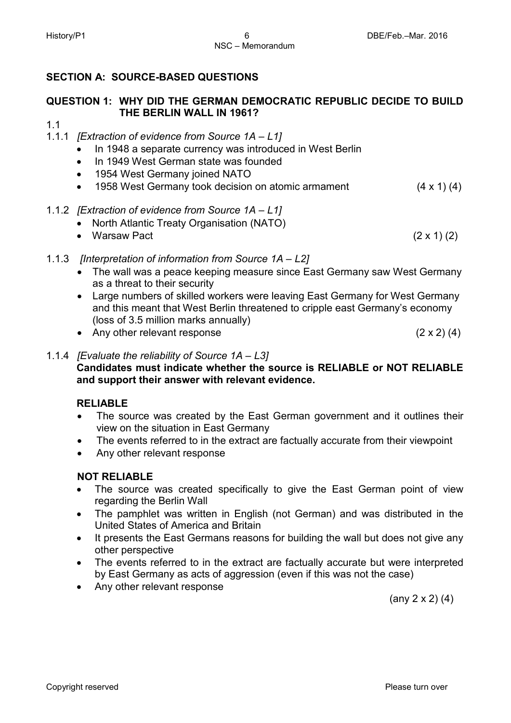### **SECTION A: SOURCE-BASED QUESTIONS**

### **QUESTION 1: WHY DID THE GERMAN DEMOCRATIC REPUBLIC DECIDE TO BUILD THE BERLIN WALL IN 1961?**

1.1

- 1.1.1 *[Extraction of evidence from Source 1A – L1]*
	- In 1948 a separate currency was introduced in West Berlin
	- In 1949 West German state was founded
	- 1954 West Germany joined NATO
	- 1958 West Germany took decision on atomic armament (4 x 1) (4)
- 1.1.2 *[Extraction of evidence from Source 1A – L1]*
	- North Atlantic Treaty Organisation (NATO)
	- Warsaw Pact  $(2 \times 1)$  (2)
- 1.1.3 *[Interpretation of information from Source 1A – L2]*
	- The wall was a peace keeping measure since East Germany saw West Germany as a threat to their security
	- Large numbers of skilled workers were leaving East Germany for West Germany and this meant that West Berlin threatened to cripple east Germany's economy (loss of 3.5 million marks annually)
	- Any other relevant response (2 x 2) (4)
- 1.1.4 *[Evaluate the reliability of Source 1A – L3]* **Candidates must indicate whether the source is RELIABLE or NOT RELIABLE and support their answer with relevant evidence.**

#### **RELIABLE**

- The source was created by the East German government and it outlines their view on the situation in East Germany
- The events referred to in the extract are factually accurate from their viewpoint
- Any other relevant response

### **NOT RELIABLE**

- The source was created specifically to give the East German point of view regarding the Berlin Wall
- The pamphlet was written in English (not German) and was distributed in the United States of America and Britain
- It presents the East Germans reasons for building the wall but does not give any other perspective
- The events referred to in the extract are factually accurate but were interpreted by East Germany as acts of aggression (even if this was not the case)
- Any other relevant response

(any 2 x 2) (4)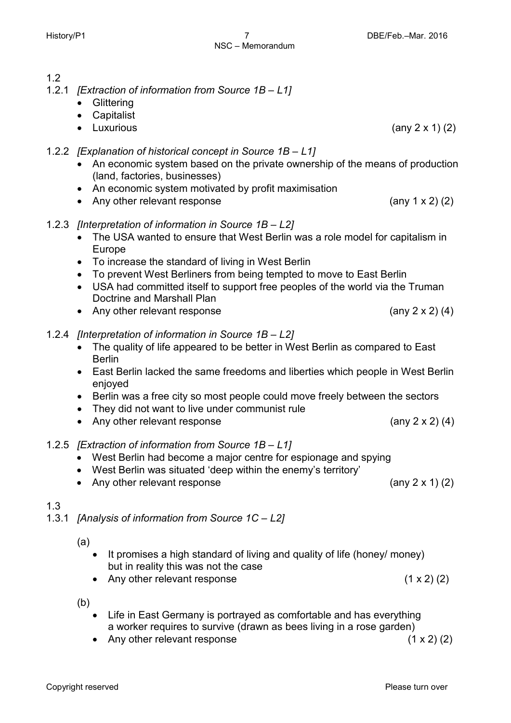#### 1.2

- 1.2.1 *[Extraction of information from Source 1B – L1]*
	- Glittering
	- Capitalist
	- Luxurious (any 2 x 1) (2)
- 1.2.2 *[Explanation of historical concept in Source 1B – L1]*
	- An economic system based on the private ownership of the means of production (land, factories, businesses)
	- An economic system motivated by profit maximisation
	- Any other relevant response (any 1 x 2) (2)
- 1.2.3 *[Interpretation of information in Source 1B – L2]*
	- The USA wanted to ensure that West Berlin was a role model for capitalism in Europe
	- To increase the standard of living in West Berlin
	- To prevent West Berliners from being tempted to move to East Berlin
	- USA had committed itself to support free peoples of the world via the Truman Doctrine and Marshall Plan
	- Any other relevant response (any 2 x 2) (4)

#### 1.2.4 *[Interpretation of information in Source 1B – L2]*

- The quality of life appeared to be better in West Berlin as compared to East Berlin
- East Berlin lacked the same freedoms and liberties which people in West Berlin enjoyed
- Berlin was a free city so most people could move freely between the sectors
- They did not want to live under communist rule
- Any other relevant response (any 2 x 2) (4)

#### 1.2.5 *[Extraction of information from Source 1B – L1]*

- West Berlin had become a major centre for espionage and spying
- West Berlin was situated 'deep within the enemy's territory'
- Any other relevant response (any 2 x 1) (2)

#### 1.3

1.3.1 *[Analysis of information from Source 1C – L2]*

(a)

- It promises a high standard of living and quality of life (honey/ money) but in reality this was not the case
- Any other relevant response  $(1 \times 2)$  (2)

(b)

- Life in East Germany is portrayed as comfortable and has everything a worker requires to survive (drawn as bees living in a rose garden)
- Any other relevant response  $(1 \times 2)$  (2)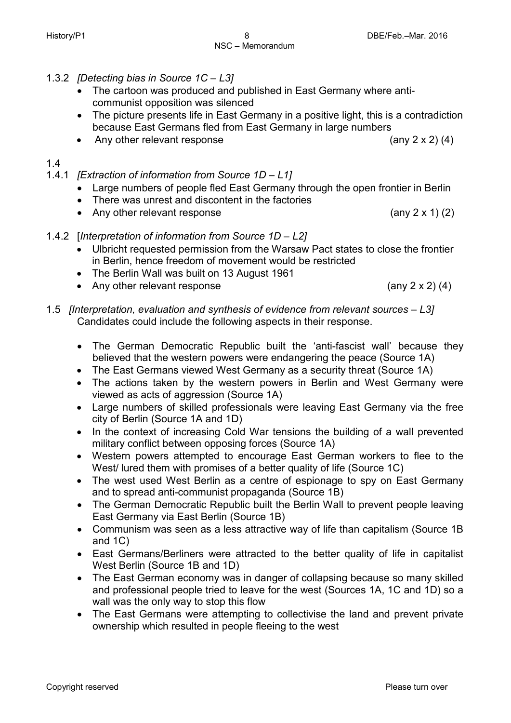- 1.3.2 *[Detecting bias in Source 1C – L3]*
	- The cartoon was produced and published in East Germany where anticommunist opposition was silenced
	- The picture presents life in East Germany in a positive light, this is a contradiction because East Germans fled from East Germany in large numbers
	- Any other relevant response (any 2 x 2) (4)

1.4

- 1.4.1 *[Extraction of information from Source 1D – L1]*
	- Large numbers of people fled East Germany through the open frontier in Berlin
	- There was unrest and discontent in the factories
	- Any other relevant response (any 2 x 1) (2)
- 1.4.2 [*Interpretation of information from Source 1D – L2]*
	- Ulbricht requested permission from the Warsaw Pact states to close the frontier in Berlin, hence freedom of movement would be restricted
	- The Berlin Wall was built on 13 August 1961
	- Any other relevant response  $(any 2 x 2) (4)$
- 1.5 *[Interpretation, evaluation and synthesis of evidence from relevant sources – L3]* Candidates could include the following aspects in their response.
	- The German Democratic Republic built the 'anti-fascist wall' because they believed that the western powers were endangering the peace (Source 1A)
	- The East Germans viewed West Germany as a security threat (Source 1A)
	- The actions taken by the western powers in Berlin and West Germany were viewed as acts of aggression (Source 1A)
	- Large numbers of skilled professionals were leaving East Germany via the free city of Berlin (Source 1A and 1D)
	- In the context of increasing Cold War tensions the building of a wall prevented military conflict between opposing forces (Source 1A)
	- Western powers attempted to encourage East German workers to flee to the West/ lured them with promises of a better quality of life (Source 1C)
	- The west used West Berlin as a centre of espionage to spy on East Germany and to spread anti-communist propaganda (Source 1B)
	- The German Democratic Republic built the Berlin Wall to prevent people leaving East Germany via East Berlin (Source 1B)
	- Communism was seen as a less attractive way of life than capitalism (Source 1B and 1C)
	- East Germans/Berliners were attracted to the better quality of life in capitalist West Berlin (Source 1B and 1D)
	- The East German economy was in danger of collapsing because so many skilled and professional people tried to leave for the west (Sources 1A, 1C and 1D) so a wall was the only way to stop this flow
	- The East Germans were attempting to collectivise the land and prevent private ownership which resulted in people fleeing to the west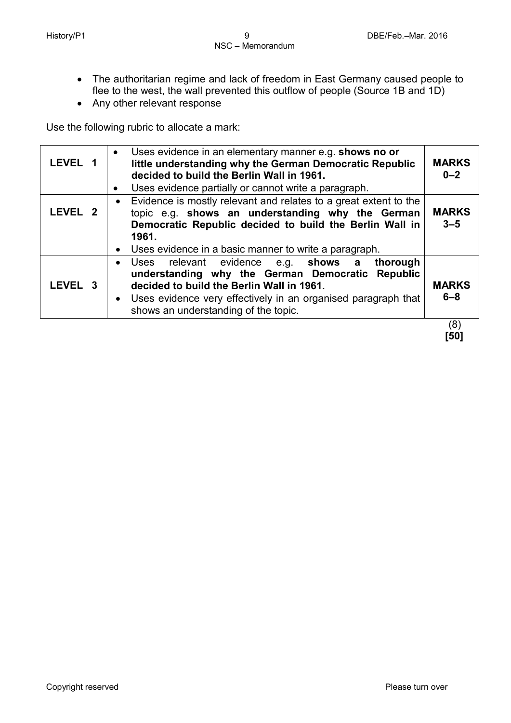- The authoritarian regime and lack of freedom in East Germany caused people to flee to the west, the wall prevented this outflow of people (Source 1B and 1D)
- Any other relevant response

Use the following rubric to allocate a mark:

| LEVEL 1            | Uses evidence in an elementary manner e.g. shows no or<br>little understanding why the German Democratic Republic<br>decided to build the Berlin Wall in 1961.<br>Uses evidence partially or cannot write a paragraph.                                                |                         |
|--------------------|-----------------------------------------------------------------------------------------------------------------------------------------------------------------------------------------------------------------------------------------------------------------------|-------------------------|
| LEVEL <sub>2</sub> | • Evidence is mostly relevant and relates to a great extent to the<br>topic e.g. shows an understanding why the German<br>Democratic Republic decided to build the Berlin Wall in<br>1961.<br>• Uses evidence in a basic manner to write a paragraph.                 | <b>MARKS</b><br>$3 - 5$ |
| LEVEL 3            | Uses relevant evidence<br>e.g. <b>shows a</b><br>thorough<br>understanding why the German Democratic Republic<br>decided to build the Berlin Wall in 1961.<br>• Uses evidence very effectively in an organised paragraph that<br>shows an understanding of the topic. | <b>MARKS</b><br>$6 - 8$ |
|                    |                                                                                                                                                                                                                                                                       | (8)                     |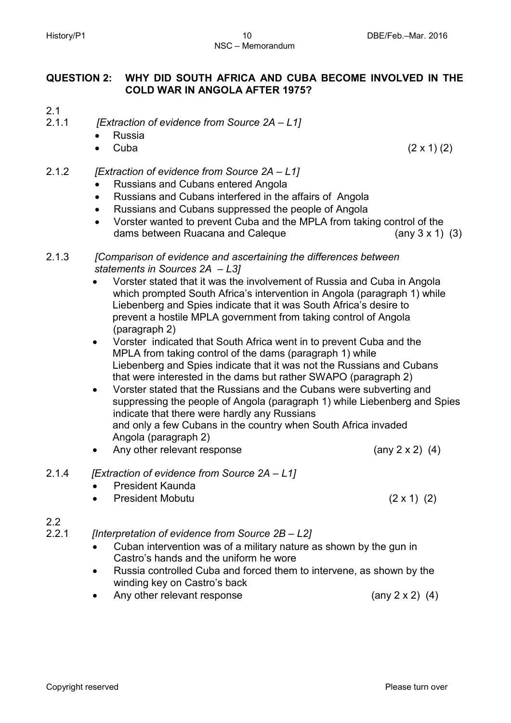## NSC – Memorandum

#### **QUESTION 2: WHY DID SOUTH AFRICA AND CUBA BECOME INVOLVED IN THE COLD WAR IN ANGOLA AFTER 1975?**

- 2.1
- 2.1.1 *[Extraction of evidence from Source 2A – L1]*
	- Russia
	- Cuba  $(2 \times 1) (2)$
- 2.1.2 *[Extraction of evidence from Source 2A – L1]*
	- Russians and Cubans entered Angola
	- Russians and Cubans interfered in the affairs of Angola
	- Russians and Cubans suppressed the people of Angola
	- Vorster wanted to prevent Cuba and the MPLA from taking control of the dams between Ruacana and Caleque  $(3x 1)(3)$
- 2.1.3 *[Comparison of evidence and ascertaining the differences between statements in Sources 2A – L3]*
	- Vorster stated that it was the involvement of Russia and Cuba in Angola which prompted South Africa's intervention in Angola (paragraph 1) while Liebenberg and Spies indicate that it was South Africa's desire to prevent a hostile MPLA government from taking control of Angola (paragraph 2)
	- Vorster indicated that South Africa went in to prevent Cuba and the MPLA from taking control of the dams (paragraph 1) while Liebenberg and Spies indicate that it was not the Russians and Cubans that were interested in the dams but rather SWAPO (paragraph 2)
	- Vorster stated that the Russians and the Cubans were subverting and suppressing the people of Angola (paragraph 1) while Liebenberg and Spies indicate that there were hardly any Russians and only a few Cubans in the country when South Africa invaded Angola (paragraph 2)
	- Any other relevant response  $(\text{any } 2 \times 2)$  (4)
- 2.1.4 *[Extraction of evidence from Source 2A – L1]*
	- President Kaunda
	- President Mobutu (2 x 1) (2)

#### 2.2

- 2.2.1 *[Interpretation of evidence from Source 2B – L2]*
	- Cuban intervention was of a military nature as shown by the gun in Castro's hands and the uniform he wore
	- Russia controlled Cuba and forced them to intervene, as shown by the winding key on Castro's back
	- Any other relevant response  $(\text{any } 2 \times 2)$  (4)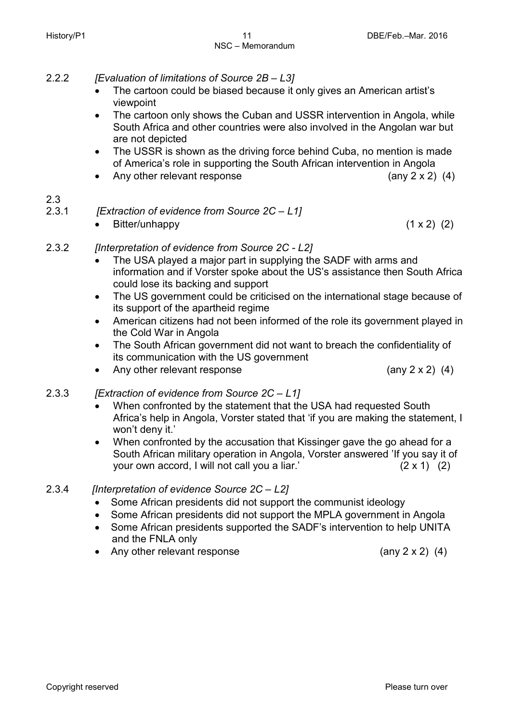- 2.2.2 *[Evaluation of limitations of Source 2B – L3]*
	- The cartoon could be biased because it only gives an American artist's viewpoint
	- The cartoon only shows the Cuban and USSR intervention in Angola, while South Africa and other countries were also involved in the Angolan war but are not depicted
	- The USSR is shown as the driving force behind Cuba, no mention is made of America's role in supporting the South African intervention in Angola
	- Any other relevant response  $(4)$

- $2.3$ <br> $2.3.1$ 2.3.1 *[Extraction of evidence from Source 2C – L1]*
	-
	- Bitter/unhappy (1 x 2) (2)
- 2.3.2 *[Interpretation of evidence from Source 2C - L2]* 
	- The USA played a major part in supplying the SADF with arms and information and if Vorster spoke about the US's assistance then South Africa could lose its backing and support
	- The US government could be criticised on the international stage because of its support of the apartheid regime
	- American citizens had not been informed of the role its government played in the Cold War in Angola
	- The South African government did not want to breach the confidentiality of its communication with the US government
	- Any other relevant response (any 2 x 2) (4)
		-

#### 2.3.3 *[Extraction of evidence from Source 2C – L1]*

- When confronted by the statement that the USA had requested South Africa's help in Angola, Vorster stated that 'if you are making the statement, I won't deny it.'
- When confronted by the accusation that Kissinger gave the go ahead for a South African military operation in Angola, Vorster answered 'If you say it of your own accord, I will not call you a liar.' (2 x 1) (2)

#### 2.3.4 *[Interpretation of evidence Source 2C – L2]*

- Some African presidents did not support the communist ideology
- Some African presidents did not support the MPLA government in Angola
- Some African presidents supported the SADF's intervention to help UNITA and the FNLA only
- Any other relevant response (any 2 x 2) (4)
	-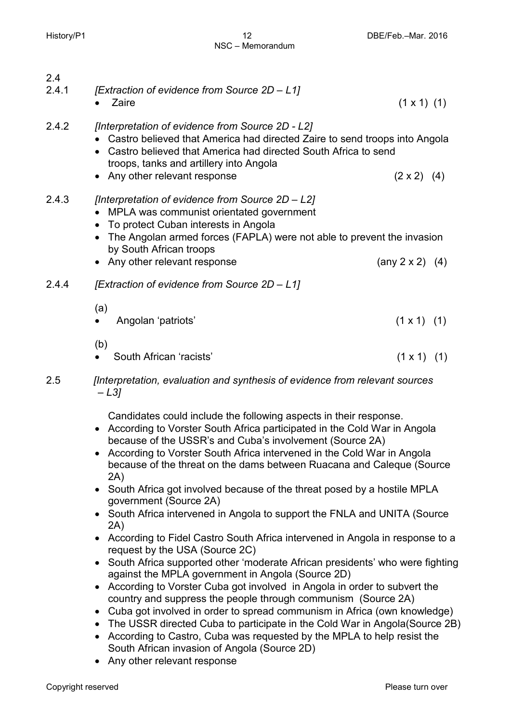| 2.4   |                                                                                                                                                                                                                                                                                |                         |     |
|-------|--------------------------------------------------------------------------------------------------------------------------------------------------------------------------------------------------------------------------------------------------------------------------------|-------------------------|-----|
| 2.4.1 | [Extraction of evidence from Source 2D - L1]                                                                                                                                                                                                                                   |                         |     |
|       | Zaire                                                                                                                                                                                                                                                                          | $(1 \times 1)$ $(1)$    |     |
| 2.4.2 | [Interpretation of evidence from Source 2D - L2]<br>Castro believed that America had directed Zaire to send troops into Angola<br>Castro believed that America had directed South Africa to send<br>troops, tanks and artillery into Angola<br>• Any other relevant response   | $(2 \times 2)$ (4)      |     |
| 2.4.3 | [Interpretation of evidence from Source 2D - L2]<br>MPLA was communist orientated government<br>• To protect Cuban interests in Angola<br>• The Angolan armed forces (FAPLA) were not able to prevent the invasion<br>by South African troops<br>• Any other relevant response | (any $2 \times 2$ ) (4) |     |
| 2.4.4 | [Extraction of evidence from Source 2D - L1]                                                                                                                                                                                                                                   |                         |     |
|       | (a)<br>Angolan 'patriots'                                                                                                                                                                                                                                                      | $(1 \times 1)$ (1)      |     |
|       | (b)<br>South African 'racists'                                                                                                                                                                                                                                                 | $(1 \times 1)$          | (1) |

2.5 *[Interpretation, evaluation and synthesis of evidence from relevant sources – L3]*

Candidates could include the following aspects in their response.

- According to Vorster South Africa participated in the Cold War in Angola because of the USSR's and Cuba's involvement (Source 2A)
- According to Vorster South Africa intervened in the Cold War in Angola because of the threat on the dams between Ruacana and Caleque (Source 2A)
- South Africa got involved because of the threat posed by a hostile MPLA government (Source 2A)
- South Africa intervened in Angola to support the FNLA and UNITA (Source 2A)
- According to Fidel Castro South Africa intervened in Angola in response to a request by the USA (Source 2C)
- South Africa supported other 'moderate African presidents' who were fighting against the MPLA government in Angola (Source 2D)
- According to Vorster Cuba got involved in Angola in order to subvert the country and suppress the people through communism (Source 2A)
- Cuba got involved in order to spread communism in Africa (own knowledge)
- The USSR directed Cuba to participate in the Cold War in Angola (Source 2B)
- According to Castro, Cuba was requested by the MPLA to help resist the South African invasion of Angola (Source 2D)
- Any other relevant response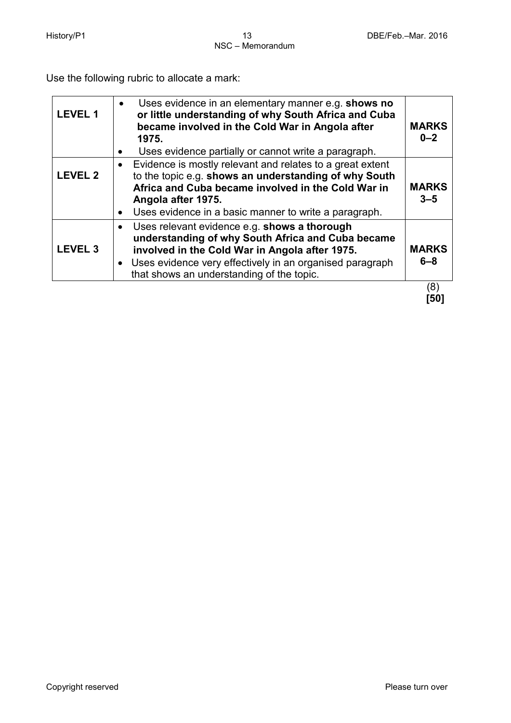Use the following rubric to allocate a mark:

| <b>LEVEL 1</b>     | Uses evidence in an elementary manner e.g. shows no<br>$\bullet$<br>or little understanding of why South Africa and Cuba<br>became involved in the Cold War in Angola after<br>1975.<br>Uses evidence partially or cannot write a paragraph.<br>$\bullet$                         | <b>MARKS</b><br>$0 - 2$ |
|--------------------|-----------------------------------------------------------------------------------------------------------------------------------------------------------------------------------------------------------------------------------------------------------------------------------|-------------------------|
| <b>LEVEL 2</b>     | Evidence is mostly relevant and relates to a great extent<br>$\bullet$<br>to the topic e.g. shows an understanding of why South<br>Africa and Cuba became involved in the Cold War in<br>Angola after 1975.<br>Uses evidence in a basic manner to write a paragraph.<br>$\bullet$ | <b>MARKS</b><br>$3 - 5$ |
| LEVEL <sub>3</sub> | Uses relevant evidence e.g. shows a thorough<br>$\bullet$<br>understanding of why South Africa and Cuba became<br>involved in the Cold War in Angola after 1975.<br>• Uses evidence very effectively in an organised paragraph<br>that shows an understanding of the topic.       | <b>MARKS</b><br>$6 - 8$ |
|                    |                                                                                                                                                                                                                                                                                   | (8)                     |

**[50]**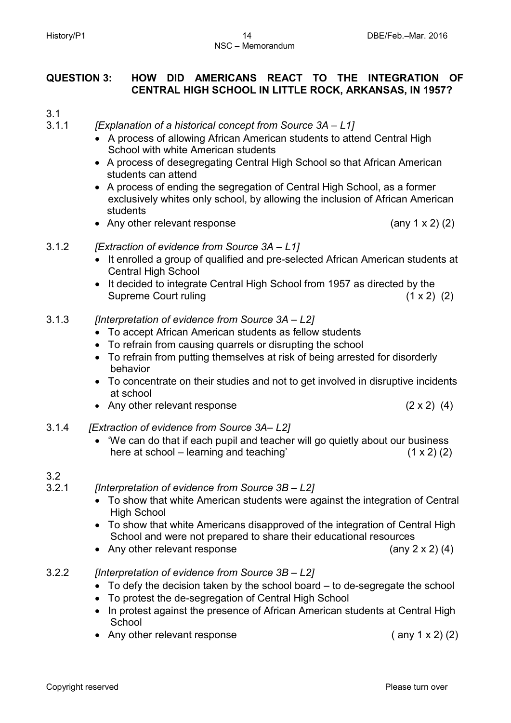#### **QUESTION 3: HOW DID AMERICANS REACT TO THE INTEGRATION OF CENTRAL HIGH SCHOOL IN LITTLE ROCK, ARKANSAS, IN 1957?**

- 3.1
- 3.1.1 *[Explanation of a historical concept from Source 3A – L1]*
	- A process of allowing African American students to attend Central High School with white American students
	- A process of desegregating Central High School so that African American students can attend
	- A process of ending the segregation of Central High School, as a former exclusively whites only school, by allowing the inclusion of African American students
	- Any other relevant response (any 1 x 2) (2)
		-

- 3.1.2 *[Extraction of evidence from Source 3A – L1]*
	- It enrolled a group of qualified and pre-selected African American students at Central High School
	- It decided to integrate Central High School from 1957 as directed by the Supreme Court ruling (1 x 2) (2)
- 3.1.3 *[Interpretation of evidence from Source 3A – L2]*
	- To accept African American students as fellow students
	- To refrain from causing quarrels or disrupting the school
	- To refrain from putting themselves at risk of being arrested for disorderly behavior
	- To concentrate on their studies and not to get involved in disruptive incidents at school
	- Any other relevant response (2 x 2) (4)
- 3.1.4 *[Extraction of evidence from Source 3A– L2]*
	- 'We can do that if each pupil and teacher will go quietly about our business here at school – learning and teaching'  $(1 \times 2)$  (2)

#### 3.2

- 3.2.1 *[Interpretation of evidence from Source 3B – L2]*
	- To show that white American students were against the integration of Central High School
	- To show that white Americans disapproved of the integration of Central High School and were not prepared to share their educational resources
	- Any other relevant response (any 2 x 2) (4)
- 3.2.2 *[Interpretation of evidence from Source 3B – L2]*
	- To defy the decision taken by the school board to de-segregate the school
	- To protest the de-segregation of Central High School
	- In protest against the presence of African American students at Central High School
	- Any other relevant response (any 1 x 2) (2)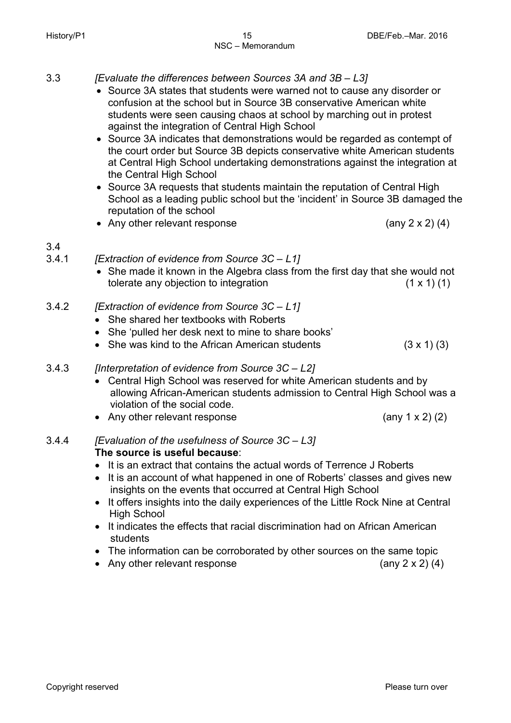- 3.3 *[Evaluate the differences between Sources 3A and 3B – L3]*
	- Source 3A states that students were warned not to cause any disorder or confusion at the school but in Source 3B conservative American white students were seen causing chaos at school by marching out in protest against the integration of Central High School
	- Source 3A indicates that demonstrations would be regarded as contempt of the court order but Source 3B depicts conservative white American students at Central High School undertaking demonstrations against the integration at the Central High School
	- Source 3A requests that students maintain the reputation of Central High School as a leading public school but the 'incident' in Source 3B damaged the reputation of the school
	- Any other relevant response (any 2 x 2) (4)

- $\frac{3.4}{3.4.1}$ 3.4.1 *[Extraction of evidence from Source 3C – L1]*
	- She made it known in the Algebra class from the first day that she would not tolerate any objection to integration  $(1 \times 1)$  (1)
- 3.4.2 *[Extraction of evidence from Source 3C – L1]*
	- She shared her textbooks with Roberts
	- She 'pulled her desk next to mine to share books'
	- She was kind to the African American students  $(3 \times 1)$  (3)
- 3.4.3 *[Interpretation of evidence from Source 3C – L2]*
	- Central High School was reserved for white American students and by allowing African-American students admission to Central High School was a violation of the social code.
	- Any other relevant response (any 1 x 2) (2)
- 3.4.4 *[Evaluation of the usefulness of Source 3C – L3]* **The source is useful because**:
	- It is an extract that contains the actual words of Terrence J Roberts
	- It is an account of what happened in one of Roberts' classes and gives new insights on the events that occurred at Central High School
	- It offers insights into the daily experiences of the Little Rock Nine at Central High School
	- It indicates the effects that racial discrimination had on African American students
	- The information can be corroborated by other sources on the same topic
	- Any other relevant response (any 2 x 2) (4)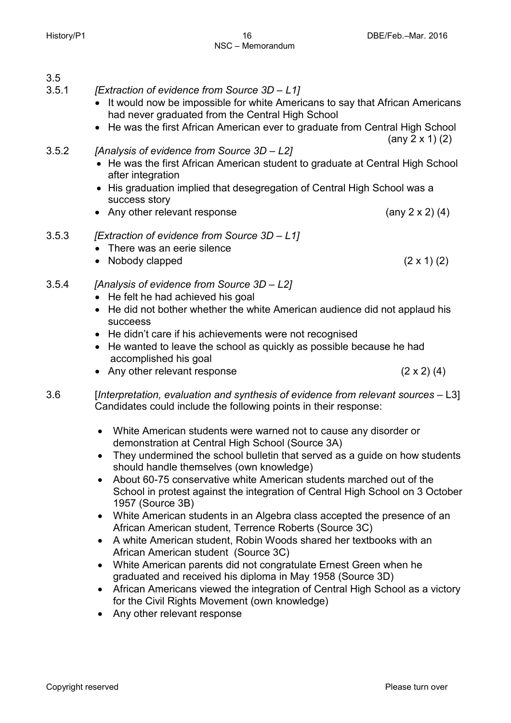$3.5$ <br> $3.5.1$ 3.5.1 *[Extraction of evidence from Source 3D – L1]*

- It would now be impossible for white Americans to say that African Americans had never graduated from the Central High School
- He was the first African American ever to graduate from Central High School (any 2 x 1) (2)

#### 3.5.2 *[Analysis of evidence from Source 3D – L2]*

- He was the first African American student to graduate at Central High School after integration
- His graduation implied that desegregation of Central High School was a success story
- Any other relevant response (any 2 x 2) (4)
- 3.5.3 *[Extraction of evidence from Source 3D – L1]*
	- There was an eerie silence
	- Nobody clapped  $(2 \times 1)$   $(2)$

#### 3.5.4 *[Analysis of evidence from Source 3D – L2]*

- He felt he had achieved his goal
- He did not bother whether the white American audience did not applaud his succeess
- He didn't care if his achievements were not recognised
- He wanted to leave the school as quickly as possible because he had accomplished his goal
- Any other relevant response (2 x 2) (4)

3.6 [*Interpretation, evaluation and synthesis of evidence from relevant sources* – L3] Candidates could include the following points in their response:

- White American students were warned not to cause any disorder or demonstration at Central High School (Source 3A)
- They undermined the school bulletin that served as a guide on how students should handle themselves (own knowledge)
- About 60-75 conservative white American students marched out of the School in protest against the integration of Central High School on 3 October 1957 (Source 3B)
- White American students in an Algebra class accepted the presence of an African American student, Terrence Roberts (Source 3C)
- A white American student, Robin Woods shared her textbooks with an African American student (Source 3C)
- White American parents did not congratulate Ernest Green when he graduated and received his diploma in May 1958 (Source 3D)
- African Americans viewed the integration of Central High School as a victory for the Civil Rights Movement (own knowledge)
- Any other relevant response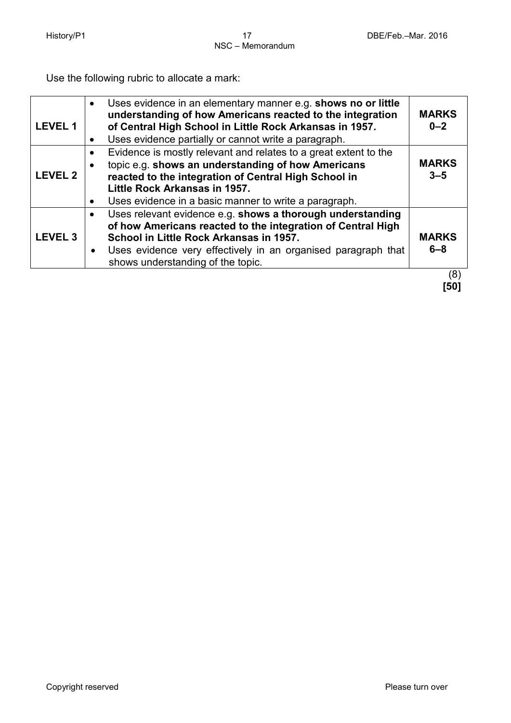Use the following rubric to allocate a mark:

| <b>LEVEL1</b>  | Uses evidence in an elementary manner e.g. shows no or little<br>$\bullet$<br>understanding of how Americans reacted to the integration<br>of Central High School in Little Rock Arkansas in 1957.<br>Uses evidence partially or cannot write a paragraph.                              | <b>MARKS</b><br>$0 - 2$ |
|----------------|-----------------------------------------------------------------------------------------------------------------------------------------------------------------------------------------------------------------------------------------------------------------------------------------|-------------------------|
| <b>LEVEL 2</b> | Evidence is mostly relevant and relates to a great extent to the<br>topic e.g. shows an understanding of how Americans<br>reacted to the integration of Central High School in<br>Little Rock Arkansas in 1957.<br>Uses evidence in a basic manner to write a paragraph.                | <b>MARKS</b><br>$3 - 5$ |
| <b>LEVEL 3</b> | Uses relevant evidence e.g. shows a thorough understanding<br>$\bullet$<br>of how Americans reacted to the integration of Central High<br>School in Little Rock Arkansas in 1957.<br>Uses evidence very effectively in an organised paragraph that<br>shows understanding of the topic. | <b>MARKS</b><br>$6 - 8$ |
|                |                                                                                                                                                                                                                                                                                         | (8)                     |

 **[50]**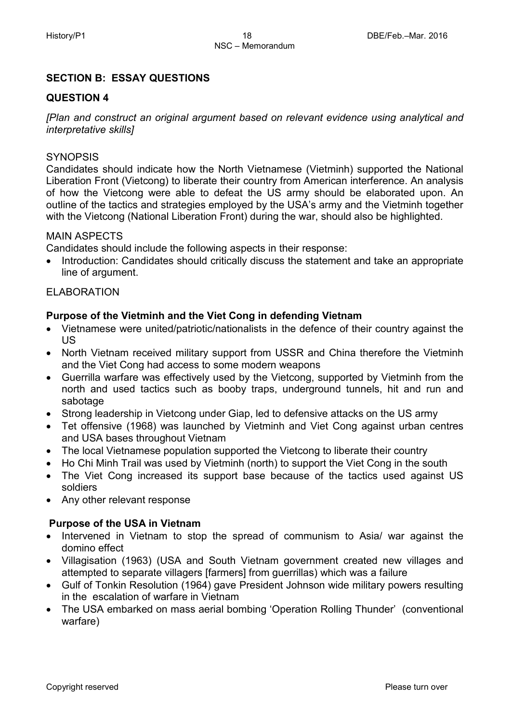#### **SECTION B: ESSAY QUESTIONS**

#### **QUESTION 4**

*[Plan and construct an original argument based on relevant evidence using analytical and interpretative skills]*

#### **SYNOPSIS**

Candidates should indicate how the North Vietnamese (Vietminh) supported the National Liberation Front (Vietcong) to liberate their country from American interference. An analysis of how the Vietcong were able to defeat the US army should be elaborated upon. An outline of the tactics and strategies employed by the USA's army and the Vietminh together with the Vietcong (National Liberation Front) during the war, should also be highlighted.

#### MAIN ASPECTS

Candidates should include the following aspects in their response:

• Introduction: Candidates should critically discuss the statement and take an appropriate line of argument.

#### ELABORATION

#### **Purpose of the Vietminh and the Viet Cong in defending Vietnam**

- Vietnamese were united/patriotic/nationalists in the defence of their country against the US
- North Vietnam received military support from USSR and China therefore the Vietminh and the Viet Cong had access to some modern weapons
- Guerrilla warfare was effectively used by the Vietcong, supported by Vietminh from the north and used tactics such as booby traps, underground tunnels, hit and run and sabotage
- Strong leadership in Vietcong under Giap, led to defensive attacks on the US army
- Tet offensive (1968) was launched by Vietminh and Viet Cong against urban centres and USA bases throughout Vietnam
- The local Vietnamese population supported the Vietcong to liberate their country
- Ho Chi Minh Trail was used by Vietminh (north) to support the Viet Cong in the south
- The Viet Cong increased its support base because of the tactics used against US soldiers
- Any other relevant response

#### **Purpose of the USA in Vietnam**

- Intervened in Vietnam to stop the spread of communism to Asia/ war against the domino effect
- Villagisation (1963) (USA and South Vietnam government created new villages and attempted to separate villagers [farmers] from guerrillas) which was a failure
- Gulf of Tonkin Resolution (1964) gave President Johnson wide military powers resulting in the escalation of warfare in Vietnam
- The USA embarked on mass aerial bombing 'Operation Rolling Thunder' (conventional warfare)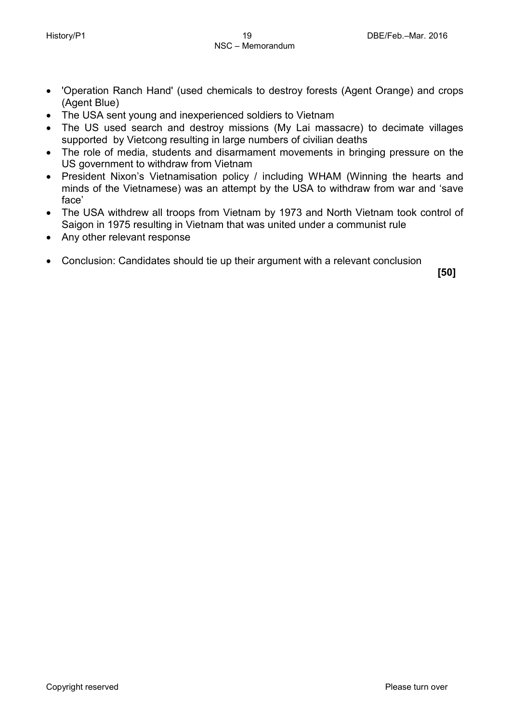- 'Operation Ranch Hand' (used chemicals to destroy forests (Agent Orange) and crops (Agent Blue)
- The USA sent young and inexperienced soldiers to Vietnam
- The US used search and destroy missions (My Lai massacre) to decimate villages supported by Vietcong resulting in large numbers of civilian deaths
- The role of media, students and disarmament movements in bringing pressure on the US government to withdraw from Vietnam
- President Nixon's Vietnamisation policy / including WHAM (Winning the hearts and minds of the Vietnamese) was an attempt by the USA to withdraw from war and 'save face'
- The USA withdrew all troops from Vietnam by 1973 and North Vietnam took control of Saigon in 1975 resulting in Vietnam that was united under a communist rule
- Any other relevant response
- Conclusion: Candidates should tie up their argument with a relevant conclusion

**[50]**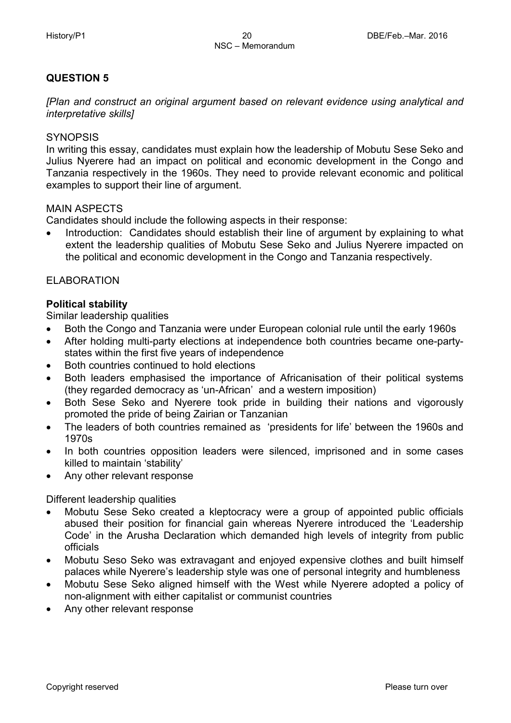#### **QUESTION 5**

*[Plan and construct an original argument based on relevant evidence using analytical and interpretative skills]*

#### **SYNOPSIS**

In writing this essay, candidates must explain how the leadership of Mobutu Sese Seko and Julius Nyerere had an impact on political and economic development in the Congo and Tanzania respectively in the 1960s. They need to provide relevant economic and political examples to support their line of argument.

#### MAIN ASPECTS

Candidates should include the following aspects in their response:

• Introduction: Candidates should establish their line of argument by explaining to what extent the leadership qualities of Mobutu Sese Seko and Julius Nyerere impacted on the political and economic development in the Congo and Tanzania respectively.

#### ELABORATION

#### **Political stability**

Similar leadership qualities

- Both the Congo and Tanzania were under European colonial rule until the early 1960s
- After holding multi-party elections at independence both countries became one-partystates within the first five years of independence
- Both countries continued to hold elections
- Both leaders emphasised the importance of Africanisation of their political systems (they regarded democracy as 'un-African' and a western imposition)
- Both Sese Seko and Nyerere took pride in building their nations and vigorously promoted the pride of being Zairian or Tanzanian
- The leaders of both countries remained as 'presidents for life' between the 1960s and 1970s
- In both countries opposition leaders were silenced, imprisoned and in some cases killed to maintain 'stability'
- Any other relevant response

Different leadership qualities

- Mobutu Sese Seko created a kleptocracy were a group of appointed public officials abused their position for financial gain whereas Nyerere introduced the 'Leadership Code' in the Arusha Declaration which demanded high levels of integrity from public officials
- Mobutu Seso Seko was extravagant and enjoyed expensive clothes and built himself palaces while Nyerere's leadership style was one of personal integrity and humbleness
- Mobutu Sese Seko aligned himself with the West while Nyerere adopted a policy of non-alignment with either capitalist or communist countries
- Any other relevant response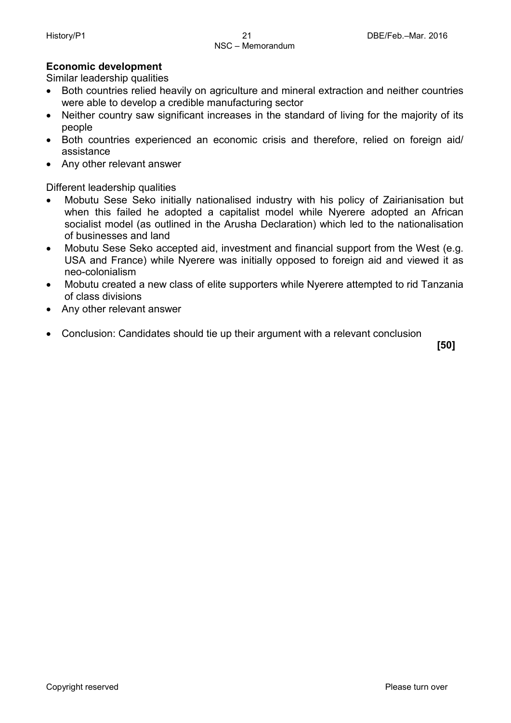#### **Economic development**

Similar leadership qualities

- Both countries relied heavily on agriculture and mineral extraction and neither countries were able to develop a credible manufacturing sector
- Neither country saw significant increases in the standard of living for the majority of its people
- Both countries experienced an economic crisis and therefore, relied on foreign aid/ assistance
- Any other relevant answer

Different leadership qualities

- Mobutu Sese Seko initially nationalised industry with his policy of Zairianisation but when this failed he adopted a capitalist model while Nyerere adopted an African socialist model (as outlined in the Arusha Declaration) which led to the nationalisation of businesses and land
- Mobutu Sese Seko accepted aid, investment and financial support from the West (e.g. USA and France) while Nyerere was initially opposed to foreign aid and viewed it as neo-colonialism
- Mobutu created a new class of elite supporters while Nyerere attempted to rid Tanzania of class divisions
- Any other relevant answer
- Conclusion: Candidates should tie up their argument with a relevant conclusion

 **[50]**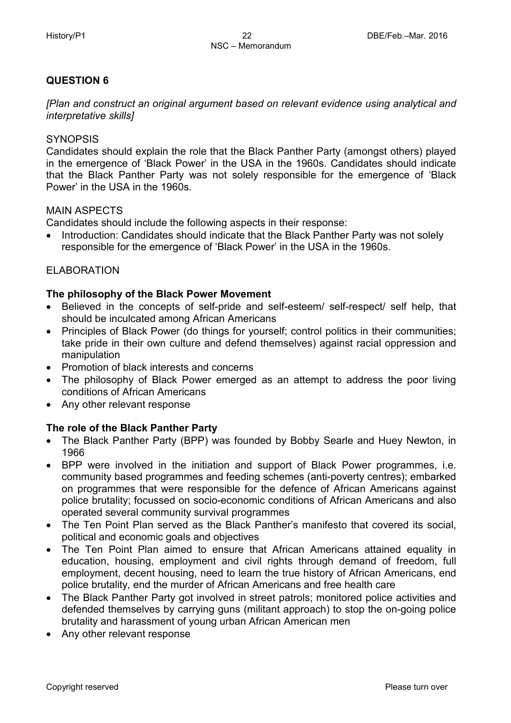#### **QUESTION 6**

*[Plan and construct an original argument based on relevant evidence using analytical and interpretative skills]*

#### **SYNOPSIS**

Candidates should explain the role that the Black Panther Party (amongst others) played in the emergence of 'Black Power' in the USA in the 1960s. Candidates should indicate that the Black Panther Party was not solely responsible for the emergence of 'Black Power' in the USA in the 1960s.

#### MAIN ASPECTS

Candidates should include the following aspects in their response:

• Introduction: Candidates should indicate that the Black Panther Party was not solely responsible for the emergence of 'Black Power' in the USA in the 1960s.

#### ELABORATION

#### **The philosophy of the Black Power Movement**

- Believed in the concepts of self-pride and self-esteem/ self-respect/ self help, that should be inculcated among African Americans
- Principles of Black Power (do things for yourself; control politics in their communities; take pride in their own culture and defend themselves) against racial oppression and manipulation
- Promotion of black interests and concerns
- The philosophy of Black Power emerged as an attempt to address the poor living conditions of African Americans
- Any other relevant response

#### **The role of the Black Panther Party**

- The Black Panther Party (BPP) was founded by Bobby Searle and Huey Newton, in 1966
- BPP were involved in the initiation and support of Black Power programmes, i.e. community based programmes and feeding schemes (anti-poverty centres); embarked on programmes that were responsible for the defence of African Americans against police brutality; focussed on socio-economic conditions of African Americans and also operated several community survival programmes
- The Ten Point Plan served as the Black Panther's manifesto that covered its social, political and economic goals and objectives
- The Ten Point Plan aimed to ensure that African Americans attained equality in education, housing, employment and civil rights through demand of freedom, full employment, decent housing, need to learn the true history of African Americans, end police brutality, end the murder of African Americans and free health care
- The Black Panther Party got involved in street patrols; monitored police activities and defended themselves by carrying guns (militant approach) to stop the on-going police brutality and harassment of young urban African American men
- Any other relevant response